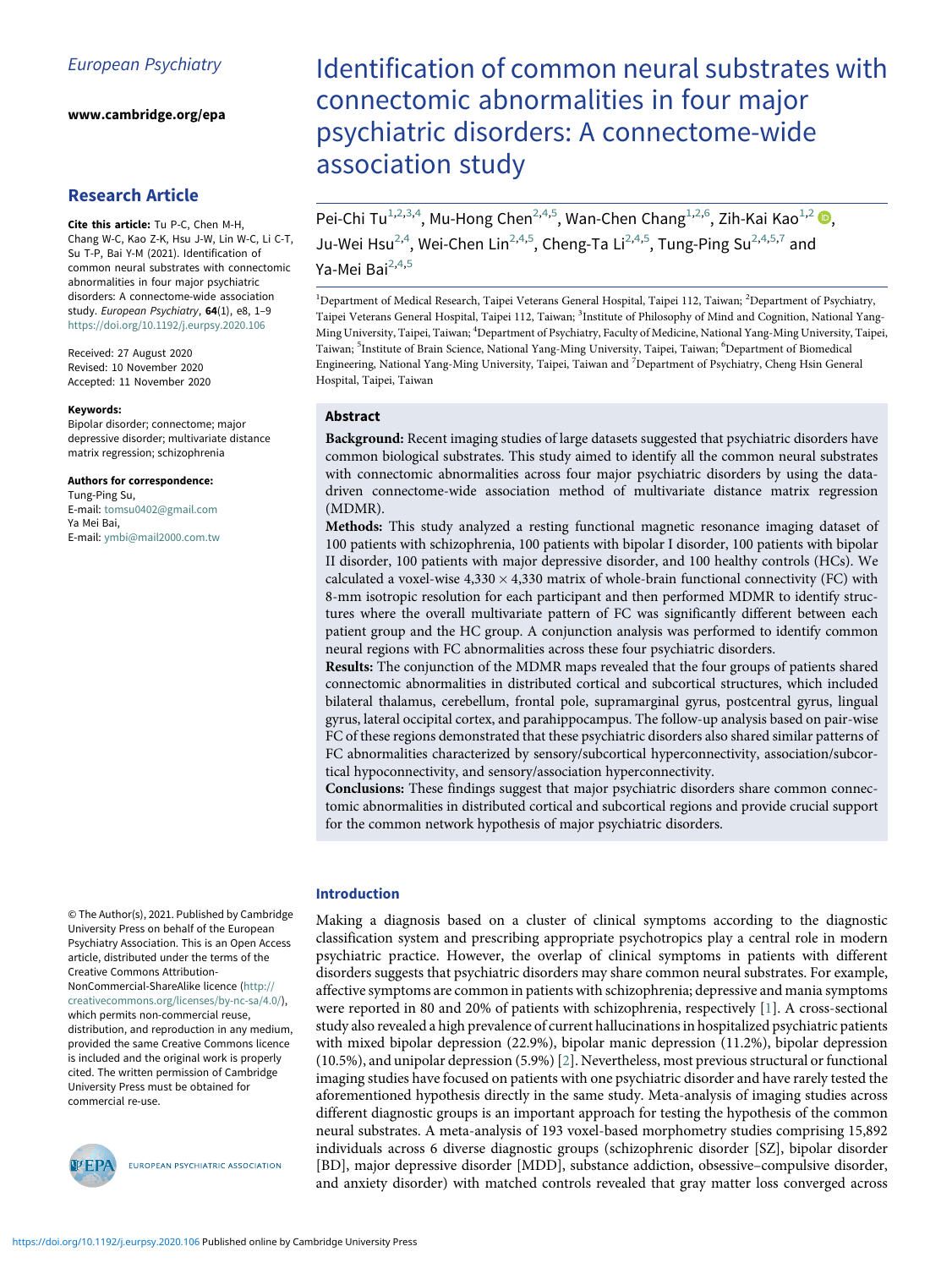www.cambridge.org/epa

# Research Article

Cite this article: Tu P-C, Chen M-H, Chang W-C, Kao Z-K, Hsu J-W, Lin W-C, Li C-T, Su T-P, Bai Y-M (2021). Identification of common neural substrates with connectomic abnormalities in four major psychiatric disorders: A connectome-wide association study. European Psychiatry, 64(1), e8, 1-9 <https://doi.org/10.1192/j.eurpsy.2020.106>

<span id="page-0-4"></span><span id="page-0-3"></span><span id="page-0-2"></span><span id="page-0-1"></span><span id="page-0-0"></span>Received: 27 August 2020 Revised: 10 November 2020 Accepted: 11 November 2020

#### Keywords:

Bipolar disorder; connectome; major depressive disorder; multivariate distance matrix regression; schizophrenia

#### Authors for correspondence:

Tung-Ping Su, E-mail: [tomsu0402@gmail.com](mailto:tomsu0402@gmail.com) Ya Mei Bai, E-mail: [ymbi@mail2000.com.tw](mailto:ymbi@mail2000.com.tw)

© The Author(s), 2021. Published by Cambridge University Press on behalf of the European Psychiatry Association. This is an Open Access article, distributed under the terms of the Creative Commons Attribution-

NonCommercial-ShareAlike licence [\(http://](http://creativecommons.org/licenses/by-nc-sa/4.0/) [creativecommons.org/licenses/by-nc-sa/4.0/](http://creativecommons.org/licenses/by-nc-sa/4.0/)), which permits non-commercial reuse, distribution, and reproduction in any medium, provided the same Creative Commons licence is included and the original work is properly cited. The written permission of Cambridge University Press must be obtained for commercial re-use.



EUROPEAN PSYCHIATRIC ASSOCIATION

# Identification of common neural substrates with connectomic abnormalities in four major psychiatric disorders: A connectome-wide association study

Pei-Chi Tu<sup>[1,2](#page-0-0),[3,](#page-0-1)[4](#page-0-2)</sup>, Mu-Hong Chen<sup>[2](#page-0-0)[,4](#page-0-2),[5](#page-0-3)</sup>, Wan-Chen Chang<sup>[1](#page-0-0),[2,](#page-0-0)[6](#page-0-3)</sup>, Zih-Kai Kao<sup>1,2</sup> (D, Ju-Wei Hsu<sup>[2,](#page-0-0)[4](#page-0-2)</sup>, Wei-Chen Lin<sup>2,4[,5](#page-0-3)</sup>, Cheng-Ta Li<sup>[2](#page-0-0),[4,](#page-0-2)[5](#page-0-3)</sup>, Tung-Ping Su<sup>2[,4,](#page-0-2)[5,](#page-0-3)[7](#page-0-4)</sup> and Ya-Mei Bai<sup>[2,](#page-0-0)[4,](#page-0-2)[5](#page-0-3)</sup>

<sup>1</sup>Department of Medical Research, Taipei Veterans General Hospital, Taipei 112, Taiwan; <sup>2</sup>Department of Psychiatry Taipei Veterans General Hospital, Taipei 112, Taiwan; <sup>3</sup>Institute of Philosophy of Mind and Cognition, National Yang-Ming University, Taipei, Taiwan; <sup>4</sup> Department of Psychiatry, Faculty of Medicine, National Yang-Ming University, Taipei, Taiwan; <sup>5</sup>Institute of Brain Science, National Yang-Ming University, Taipei, Taiwan; <sup>6</sup>Department of Biomedical Engineering, National Yang-Ming University, Taipei, Taiwan and <sup>7</sup> Department of Psychiatry, Cheng Hsin General Hospital, Taipei, Taiwan

# Abstract

Background: Recent imaging studies of large datasets suggested that psychiatric disorders have common biological substrates. This study aimed to identify all the common neural substrates with connectomic abnormalities across four major psychiatric disorders by using the datadriven connectome-wide association method of multivariate distance matrix regression (MDMR).

Methods: This study analyzed a resting functional magnetic resonance imaging dataset of 100 patients with schizophrenia, 100 patients with bipolar I disorder, 100 patients with bipolar II disorder, 100 patients with major depressive disorder, and 100 healthy controls (HCs). We calculated a voxel-wise  $4,330 \times 4,330$  matrix of whole-brain functional connectivity (FC) with 8-mm isotropic resolution for each participant and then performed MDMR to identify structures where the overall multivariate pattern of FC was significantly different between each patient group and the HC group. A conjunction analysis was performed to identify common neural regions with FC abnormalities across these four psychiatric disorders.

Results: The conjunction of the MDMR maps revealed that the four groups of patients shared connectomic abnormalities in distributed cortical and subcortical structures, which included bilateral thalamus, cerebellum, frontal pole, supramarginal gyrus, postcentral gyrus, lingual gyrus, lateral occipital cortex, and parahippocampus. The follow-up analysis based on pair-wise FC of these regions demonstrated that these psychiatric disorders also shared similar patterns of FC abnormalities characterized by sensory/subcortical hyperconnectivity, association/subcortical hypoconnectivity, and sensory/association hyperconnectivity.

Conclusions: These findings suggest that major psychiatric disorders share common connectomic abnormalities in distributed cortical and subcortical regions and provide crucial support for the common network hypothesis of major psychiatric disorders.

# Introduction

Making a diagnosis based on a cluster of clinical symptoms according to the diagnostic classification system and prescribing appropriate psychotropics play a central role in modern psychiatric practice. However, the overlap of clinical symptoms in patients with different disorders suggests that psychiatric disorders may share common neural substrates. For example, affective symptoms are common in patients with schizophrenia; depressive and mania symptoms were reported in 80 and 20% of patients with schizophrenia, respectively [[1](#page-7-0)]. A cross-sectional study also revealed a high prevalence of current hallucinations in hospitalized psychiatric patients with mixed bipolar depression (22.9%), bipolar manic depression (11.2%), bipolar depression (10.5%), and unipolar depression (5.9%) [\[2\]](#page-7-1). Nevertheless, most previous structural or functional imaging studies have focused on patients with one psychiatric disorder and have rarely tested the aforementioned hypothesis directly in the same study. Meta-analysis of imaging studies across different diagnostic groups is an important approach for testing the hypothesis of the common neural substrates. A meta-analysis of 193 voxel-based morphometry studies comprising 15,892 individuals across 6 diverse diagnostic groups (schizophrenic disorder [SZ], bipolar disorder [BD], major depressive disorder [MDD], substance addiction, obsessive–compulsive disorder, and anxiety disorder) with matched controls revealed that gray matter loss converged across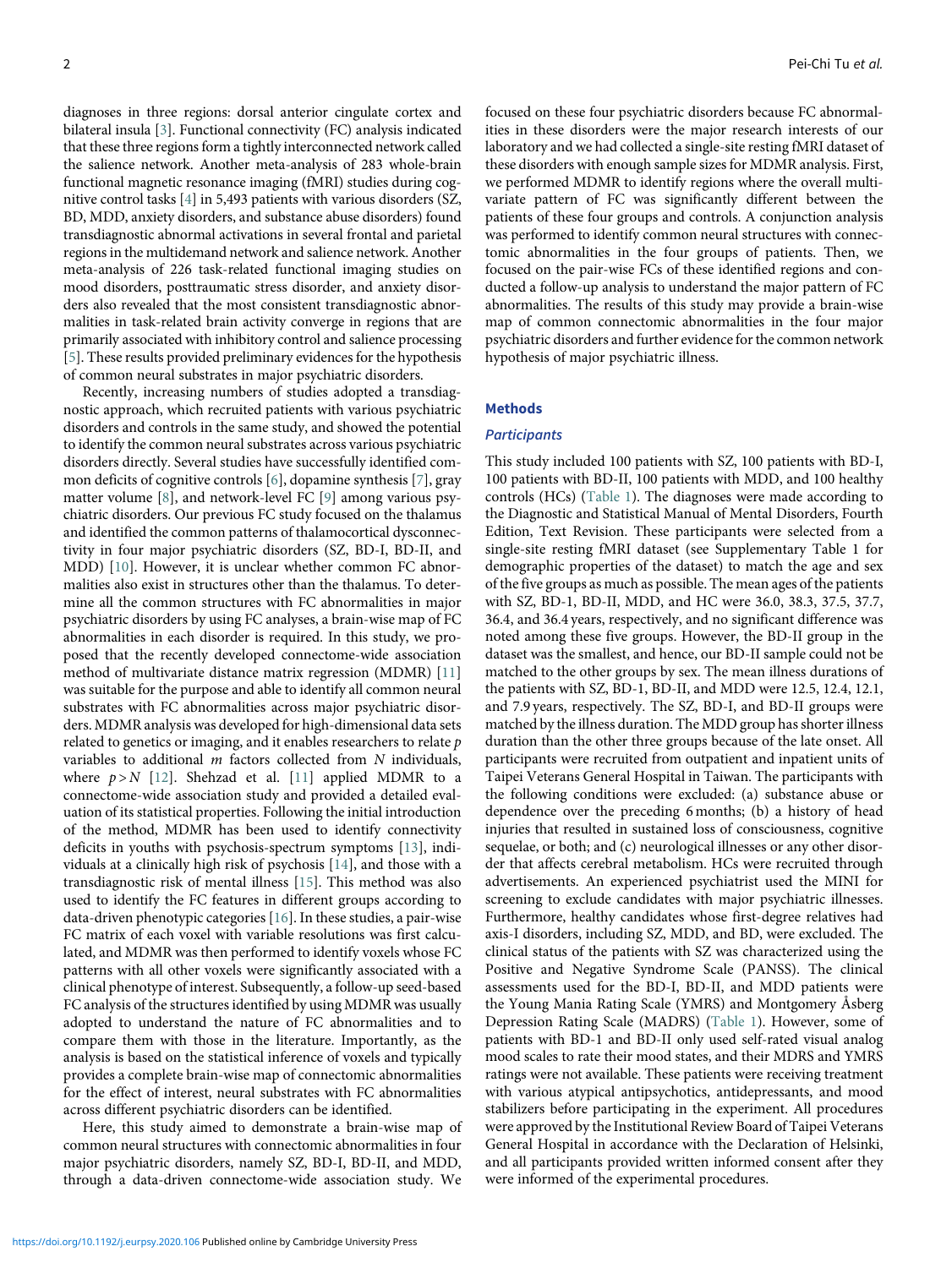diagnoses in three regions: dorsal anterior cingulate cortex and bilateral insula [\[3\]](#page-7-2). Functional connectivity (FC) analysis indicated that these three regions form a tightly interconnected network called the salience network. Another meta-analysis of 283 whole-brain functional magnetic resonance imaging (fMRI) studies during cognitive control tasks [[4](#page-7-3)] in 5,493 patients with various disorders (SZ, BD, MDD, anxiety disorders, and substance abuse disorders) found transdiagnostic abnormal activations in several frontal and parietal regions in the multidemand network and salience network. Another meta-analysis of 226 task-related functional imaging studies on mood disorders, posttraumatic stress disorder, and anxiety disorders also revealed that the most consistent transdiagnostic abnormalities in task-related brain activity converge in regions that are primarily associated with inhibitory control and salience processing [[5](#page-7-4)]. These results provided preliminary evidences for the hypothesis of common neural substrates in major psychiatric disorders.

Recently, increasing numbers of studies adopted a transdiagnostic approach, which recruited patients with various psychiatric disorders and controls in the same study, and showed the potential to identify the common neural substrates across various psychiatric disorders directly. Several studies have successfully identified common deficits of cognitive controls [[6](#page-7-5)], dopamine synthesis [[7](#page-7-6)], gray matter volume [[8](#page-7-7)], and network-level FC [[9](#page-7-8)] among various psychiatric disorders. Our previous FC study focused on the thalamus and identified the common patterns of thalamocortical dysconnectivity in four major psychiatric disorders (SZ, BD-I, BD-II, and MDD) [[10\]](#page-7-9). However, it is unclear whether common FC abnormalities also exist in structures other than the thalamus. To determine all the common structures with FC abnormalities in major psychiatric disorders by using FC analyses, a brain-wise map of FC abnormalities in each disorder is required. In this study, we proposed that the recently developed connectome-wide association method of multivariate distance matrix regression (MDMR) [\[11\]](#page-7-10) was suitable for the purpose and able to identify all common neural substrates with FC abnormalities across major psychiatric disorders. MDMR analysis was developed for high-dimensional data sets related to genetics or imaging, and it enables researchers to relate p variables to additional m factors collected from N individuals, where  $p > N$  [\[12\]](#page-7-11). Shehzad et al. [\[11](#page-7-10)] applied MDMR to a connectome-wide association study and provided a detailed evaluation of its statistical properties. Following the initial introduction of the method, MDMR has been used to identify connectivity deficits in youths with psychosis-spectrum symptoms [[13\]](#page-7-12), individuals at a clinically high risk of psychosis [[14](#page-7-13)], and those with a transdiagnostic risk of mental illness [\[15](#page-7-14)]. This method was also used to identify the FC features in different groups according to data-driven phenotypic categories [\[16](#page-7-15)]. In these studies, a pair-wise FC matrix of each voxel with variable resolutions was first calculated, and MDMR was then performed to identify voxels whose FC patterns with all other voxels were significantly associated with a clinical phenotype of interest. Subsequently, a follow-up seed-based FC analysis of the structures identified by using MDMR was usually adopted to understand the nature of FC abnormalities and to compare them with those in the literature. Importantly, as the analysis is based on the statistical inference of voxels and typically provides a complete brain-wise map of connectomic abnormalities for the effect of interest, neural substrates with FC abnormalities across different psychiatric disorders can be identified.

Here, this study aimed to demonstrate a brain-wise map of common neural structures with connectomic abnormalities in four major psychiatric disorders, namely SZ, BD-I, BD-II, and MDD, through a data-driven connectome-wide association study. We

focused on these four psychiatric disorders because FC abnormalities in these disorders were the major research interests of our laboratory and we had collected a single-site resting fMRI dataset of these disorders with enough sample sizes for MDMR analysis. First, we performed MDMR to identify regions where the overall multivariate pattern of FC was significantly different between the patients of these four groups and controls. A conjunction analysis was performed to identify common neural structures with connectomic abnormalities in the four groups of patients. Then, we focused on the pair-wise FCs of these identified regions and conducted a follow-up analysis to understand the major pattern of FC abnormalities. The results of this study may provide a brain-wise map of common connectomic abnormalities in the four major psychiatric disorders and further evidence for the common network hypothesis of major psychiatric illness.

## Methods

# **Participants**

This study included 100 patients with SZ, 100 patients with BD-I, 100 patients with BD-II, 100 patients with MDD, and 100 healthy controls (HCs) ([Table 1](#page-2-0)). The diagnoses were made according to the Diagnostic and Statistical Manual of Mental Disorders, Fourth Edition, Text Revision. These participants were selected from a single-site resting fMRI dataset (see Supplementary Table 1 for demographic properties of the dataset) to match the age and sex of the five groups as much as possible. The mean ages of the patients with SZ, BD-1, BD-II, MDD, and HC were 36.0, 38.3, 37.5, 37.7, 36.4, and 36.4 years, respectively, and no significant difference was noted among these five groups. However, the BD-II group in the dataset was the smallest, and hence, our BD-II sample could not be matched to the other groups by sex. The mean illness durations of the patients with SZ, BD-1, BD-II, and MDD were 12.5, 12.4, 12.1, and 7.9 years, respectively. The SZ, BD-I, and BD-II groups were matched by the illness duration. The MDD group has shorter illness duration than the other three groups because of the late onset. All participants were recruited from outpatient and inpatient units of Taipei Veterans General Hospital in Taiwan. The participants with the following conditions were excluded: (a) substance abuse or dependence over the preceding 6 months; (b) a history of head injuries that resulted in sustained loss of consciousness, cognitive sequelae, or both; and (c) neurological illnesses or any other disorder that affects cerebral metabolism. HCs were recruited through advertisements. An experienced psychiatrist used the MINI for screening to exclude candidates with major psychiatric illnesses. Furthermore, healthy candidates whose first-degree relatives had axis-I disorders, including SZ, MDD, and BD, were excluded. The clinical status of the patients with SZ was characterized using the Positive and Negative Syndrome Scale (PANSS). The clinical assessments used for the BD-I, BD-II, and MDD patients were the Young Mania Rating Scale (YMRS) and Montgomery Åsberg Depression Rating Scale (MADRS) ([Table 1\)](#page-2-0). However, some of patients with BD-1 and BD-II only used self-rated visual analog mood scales to rate their mood states, and their MDRS and YMRS ratings were not available. These patients were receiving treatment with various atypical antipsychotics, antidepressants, and mood stabilizers before participating in the experiment. All procedures were approved by the Institutional Review Board of Taipei Veterans General Hospital in accordance with the Declaration of Helsinki, and all participants provided written informed consent after they were informed of the experimental procedures.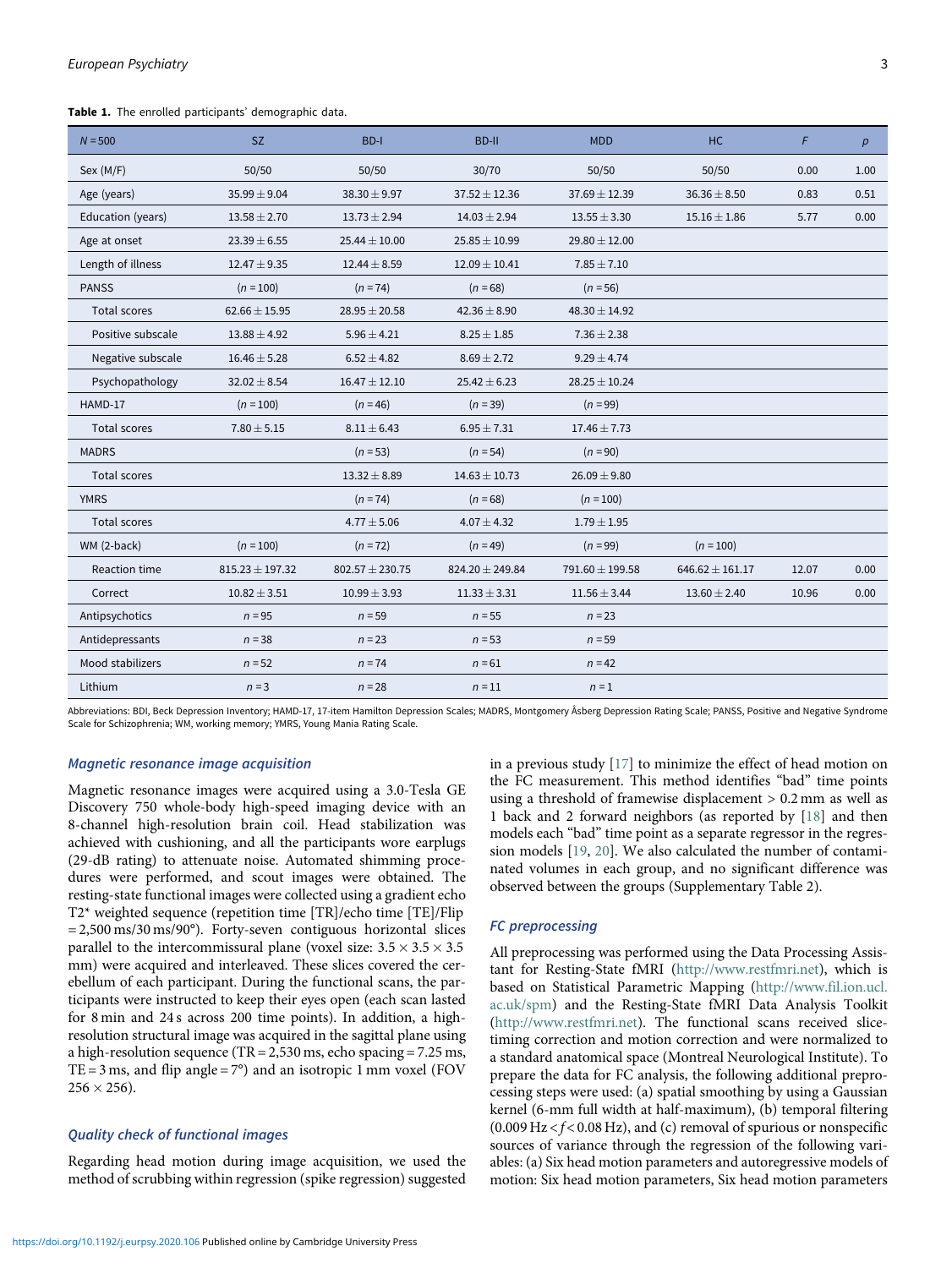Table 1. The enrolled participants' demographic data.

| $N = 500$           | <b>SZ</b>           | BD-I                | <b>BD-II</b>        | <b>MDD</b>        | HC                  | $\mathcal{F}$ | p    |
|---------------------|---------------------|---------------------|---------------------|-------------------|---------------------|---------------|------|
| Sex (M/F)           | 50/50               | 50/50               | 30/70               | 50/50             | 50/50               | 0.00          | 1.00 |
| Age (years)         | $35.99 \pm 9.04$    | $38.30 \pm 9.97$    | $37.52 \pm 12.36$   | $37.69 \pm 12.39$ | $36.36 \pm 8.50$    | 0.83          | 0.51 |
| Education (years)   | $13.58 \pm 2.70$    | $13.73 \pm 2.94$    | $14.03 \pm 2.94$    | $13.55 \pm 3.30$  | $15.16 \pm 1.86$    | 5.77          | 0.00 |
| Age at onset        | $23.39 \pm 6.55$    | $25.44 \pm 10.00$   | $25.85 \pm 10.99$   | $29.80 \pm 12.00$ |                     |               |      |
| Length of illness   | $12.47 \pm 9.35$    | $12.44 \pm 8.59$    | $12.09 \pm 10.41$   | $7.85 \pm 7.10$   |                     |               |      |
| <b>PANSS</b>        | $(n = 100)$         | $(n = 74)$          | $(n = 68)$          | $(n = 56)$        |                     |               |      |
| <b>Total scores</b> | $62.66 \pm 15.95$   | $28.95 \pm 20.58$   | $42.36 \pm 8.90$    | $48.30 \pm 14.92$ |                     |               |      |
| Positive subscale   | $13.88 \pm 4.92$    | $5.96 \pm 4.21$     | $8.25 \pm 1.85$     | $7.36 \pm 2.38$   |                     |               |      |
| Negative subscale   | $16.46 \pm 5.28$    | $6.52 \pm 4.82$     | $8.69 \pm 2.72$     | $9.29 \pm 4.74$   |                     |               |      |
| Psychopathology     | $32.02 \pm 8.54$    | $16.47 \pm 12.10$   | $25.42 \pm 6.23$    | $28.25 \pm 10.24$ |                     |               |      |
| HAMD-17             | $(n = 100)$         | $(n = 46)$          | $(n=39)$            | $(n = 99)$        |                     |               |      |
| <b>Total scores</b> | $7.80 \pm 5.15$     | $8.11 \pm 6.43$     | $6.95 \pm 7.31$     | $17.46 \pm 7.73$  |                     |               |      |
| <b>MADRS</b>        |                     | $(n = 53)$          | $(n = 54)$          | $(n = 90)$        |                     |               |      |
| <b>Total scores</b> |                     | $13.32 \pm 8.89$    | $14.63 \pm 10.73$   | $26.09 \pm 9.80$  |                     |               |      |
| <b>YMRS</b>         |                     | $(n = 74)$          | $(n = 68)$          | $(n = 100)$       |                     |               |      |
| Total scores        |                     | $4.77 \pm 5.06$     | $4.07 \pm 4.32$     | $1.79 \pm 1.95$   |                     |               |      |
| WM (2-back)         | $(n = 100)$         | $(n = 72)$          | $(n = 49)$          | $(n = 99)$        | $(n = 100)$         |               |      |
| Reaction time       | $815.23 \pm 197.32$ | $802.57 \pm 230.75$ | $824.20 \pm 249.84$ | 791.60 ± 199.58   | $646.62 \pm 161.17$ | 12.07         | 0.00 |
| Correct             | $10.82 \pm 3.51$    | $10.99 \pm 3.93$    | $11.33 \pm 3.31$    | $11.56 \pm 3.44$  | $13.60 \pm 2.40$    | 10.96         | 0.00 |
| Antipsychotics      | $n = 95$            | $n = 59$            | $n = 55$            | $n = 23$          |                     |               |      |
| Antidepressants     | $n = 38$            | $n = 23$            | $n = 53$            | $n = 59$          |                     |               |      |
| Mood stabilizers    | $n = 52$            | $n = 74$            | $n = 61$            | $n = 42$          |                     |               |      |
| Lithium             | $n = 3$             | $n = 28$            | $n = 11$            | $n = 1$           |                     |               |      |

<span id="page-2-0"></span>Abbreviations: BDI, Beck Depression Inventory; HAMD-17, 17-item Hamilton Depression Scales; MADRS, Montgomery Åsberg Depression Rating Scale; PANSS, Positive and Negative Syndrome Scale for Schizophrenia; WM, working memory; YMRS, Young Mania Rating Scale.

#### Magnetic resonance image acquisition

Magnetic resonance images were acquired using a 3.0-Tesla GE Discovery 750 whole-body high-speed imaging device with an 8-channel high-resolution brain coil. Head stabilization was achieved with cushioning, and all the participants wore earplugs (29-dB rating) to attenuate noise. Automated shimming procedures were performed, and scout images were obtained. The resting-state functional images were collected using a gradient echo T2\* weighted sequence (repetition time [TR]/echo time [TE]/Flip  $= 2,500 \text{ ms}/30 \text{ ms}/90^{\circ}$ . Forty-seven contiguous horizontal slices parallel to the intercommissural plane (voxel size:  $3.5 \times 3.5 \times 3.5$ mm) were acquired and interleaved. These slices covered the cerebellum of each participant. During the functional scans, the participants were instructed to keep their eyes open (each scan lasted for 8 min and 24 s across 200 time points). In addition, a highresolution structural image was acquired in the sagittal plane using a high-resolution sequence (TR = 2,530 ms, echo spacing = 7.25 ms, TE = 3 ms, and flip angle =  $7^{\circ}$ ) and an isotropic 1 mm voxel (FOV  $256 \times 256$ ).

## Quality check of functional images

Regarding head motion during image acquisition, we used the method of scrubbing within regression (spike regression) suggested in a previous study [\[17\]](#page-7-16) to minimize the effect of head motion on the FC measurement. This method identifies "bad" time points using a threshold of framewise displacement > 0.2 mm as well as 1 back and 2 forward neighbors (as reported by [\[18](#page-7-17)] and then models each "bad" time point as a separate regressor in the regression models [\[19](#page-7-18), [20](#page-7-19)]. We also calculated the number of contaminated volumes in each group, and no significant difference was observed between the groups (Supplementary Table 2).

# FC preprocessing

All preprocessing was performed using the Data Processing Assistant for Resting-State fMRI [\(http://www.restfmri.net\)](http://www.restfmri.net), which is based on Statistical Parametric Mapping [\(http://www.fil.ion.ucl.](http://www.fil.ion.ucl.ac.uk/spm) [ac.uk/spm](http://www.fil.ion.ucl.ac.uk/spm)) and the Resting-State fMRI Data Analysis Toolkit (<http://www.restfmri.net>). The functional scans received slicetiming correction and motion correction and were normalized to a standard anatomical space (Montreal Neurological Institute). To prepare the data for FC analysis, the following additional preprocessing steps were used: (a) spatial smoothing by using a Gaussian kernel (6-mm full width at half-maximum), (b) temporal filtering  $(0.009 \text{ Hz} < f < 0.08 \text{ Hz})$ , and (c) removal of spurious or nonspecific sources of variance through the regression of the following variables: (a) Six head motion parameters and autoregressive models of motion: Six head motion parameters, Six head motion parameters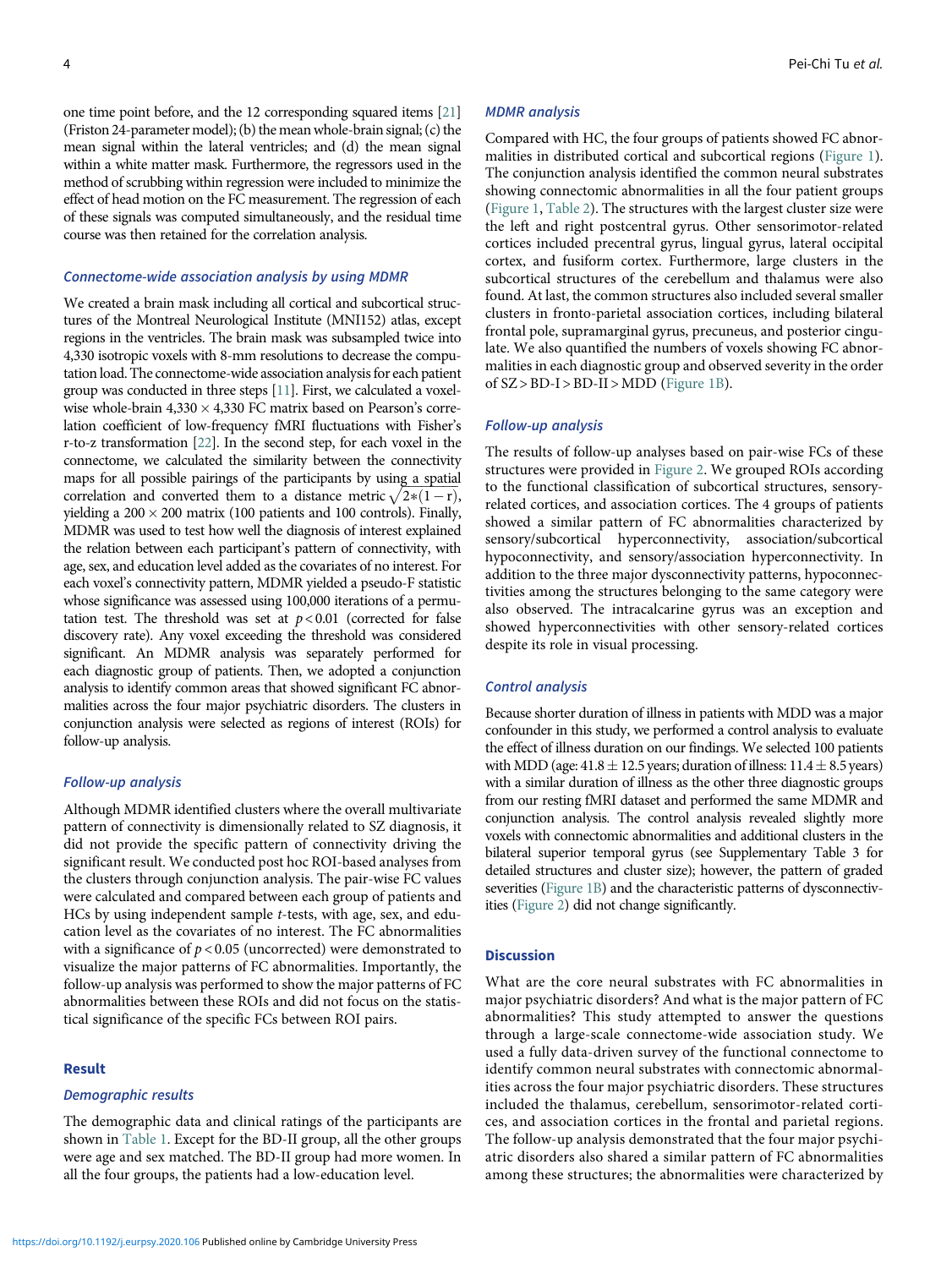one time point before, and the 12 corresponding squared items [[21\]](#page-7-20) (Friston 24-parameter model); (b) the mean whole-brain signal; (c) the mean signal within the lateral ventricles; and (d) the mean signal within a white matter mask. Furthermore, the regressors used in the method of scrubbing within regression were included to minimize the effect of head motion on the FC measurement. The regression of each of these signals was computed simultaneously, and the residual time course was then retained for the correlation analysis.

#### Connectome-wide association analysis by using MDMR

We created a brain mask including all cortical and subcortical structures of the Montreal Neurological Institute (MNI152) atlas, except regions in the ventricles. The brain mask was subsampled twice into 4,330 isotropic voxels with 8-mm resolutions to decrease the computation load. The connectome-wide association analysis for each patient group was conducted in three steps [\[11\]](#page-7-10). First, we calculated a voxelwise whole-brain  $4,330 \times 4,330$  FC matrix based on Pearson's correlation coefficient of low-frequency fMRI fluctuations with Fisher's r-to-z transformation [[22](#page-7-21)]. In the second step, for each voxel in the connectome, we calculated the similarity between the connectivity maps for all possible pairings of the participants by using a spatial correlation and converted them to a distance metric  $\sqrt{2*(1-r)}$ , yielding a  $200 \times 200$  matrix (100 patients and 100 controls). Finally, MDMR was used to test how well the diagnosis of interest explained the relation between each participant's pattern of connectivity, with age, sex, and education level added as the covariates of no interest. For each voxel's connectivity pattern, MDMR yielded a pseudo-F statistic whose significance was assessed using 100,000 iterations of a permutation test. The threshold was set at  $p < 0.01$  (corrected for false discovery rate). Any voxel exceeding the threshold was considered significant. An MDMR analysis was separately performed for each diagnostic group of patients. Then, we adopted a conjunction analysis to identify common areas that showed significant FC abnormalities across the four major psychiatric disorders. The clusters in conjunction analysis were selected as regions of interest (ROIs) for follow-up analysis.

#### Follow-up analysis

Although MDMR identified clusters where the overall multivariate pattern of connectivity is dimensionally related to SZ diagnosis, it did not provide the specific pattern of connectivity driving the significant result. We conducted post hoc ROI-based analyses from the clusters through conjunction analysis. The pair-wise FC values were calculated and compared between each group of patients and HCs by using independent sample t-tests, with age, sex, and education level as the covariates of no interest. The FC abnormalities with a significance of  $p < 0.05$  (uncorrected) were demonstrated to visualize the major patterns of FC abnormalities. Importantly, the follow-up analysis was performed to show the major patterns of FC abnormalities between these ROIs and did not focus on the statistical significance of the specific FCs between ROI pairs.

# Result

## Demographic results

The demographic data and clinical ratings of the participants are shown in [Table 1.](#page-2-0) Except for the BD-II group, all the other groups were age and sex matched. The BD-II group had more women. In all the four groups, the patients had a low-education level.

#### MDMR analysis

Compared with HC, the four groups of patients showed FC abnormalities in distributed cortical and subcortical regions ([Figure 1](#page-4-0)). The conjunction analysis identified the common neural substrates showing connectomic abnormalities in all the four patient groups ([Figure 1,](#page-4-0) [Table 2](#page-5-0)). The structures with the largest cluster size were the left and right postcentral gyrus. Other sensorimotor-related cortices included precentral gyrus, lingual gyrus, lateral occipital cortex, and fusiform cortex. Furthermore, large clusters in the subcortical structures of the cerebellum and thalamus were also found. At last, the common structures also included several smaller clusters in fronto-parietal association cortices, including bilateral frontal pole, supramarginal gyrus, precuneus, and posterior cingulate. We also quantified the numbers of voxels showing FC abnormalities in each diagnostic group and observed severity in the order of  $SZ > BD-I > BD-II > MDD$  ([Figure 1B](#page-4-0)).

#### Follow-up analysis

The results of follow-up analyses based on pair-wise FCs of these structures were provided in [Figure 2](#page-6-0). We grouped ROIs according to the functional classification of subcortical structures, sensoryrelated cortices, and association cortices. The 4 groups of patients showed a similar pattern of FC abnormalities characterized by sensory/subcortical hyperconnectivity, association/subcortical hypoconnectivity, and sensory/association hyperconnectivity. In addition to the three major dysconnectivity patterns, hypoconnectivities among the structures belonging to the same category were also observed. The intracalcarine gyrus was an exception and showed hyperconnectivities with other sensory-related cortices despite its role in visual processing.

#### Control analysis

Because shorter duration of illness in patients with MDD was a major confounder in this study, we performed a control analysis to evaluate the effect of illness duration on our findings. We selected 100 patients with MDD (age:  $41.8 \pm 12.5$  years; duration of illness:  $11.4 \pm 8.5$  years) with a similar duration of illness as the other three diagnostic groups from our resting fMRI dataset and performed the same MDMR and conjunction analysis. The control analysis revealed slightly more voxels with connectomic abnormalities and additional clusters in the bilateral superior temporal gyrus (see Supplementary Table 3 for detailed structures and cluster size); however, the pattern of graded severities ([Figure 1B](#page-4-0)) and the characteristic patterns of dysconnectivities [\(Figure 2](#page-6-0)) did not change significantly.

## **Discussion**

What are the core neural substrates with FC abnormalities in major psychiatric disorders? And what is the major pattern of FC abnormalities? This study attempted to answer the questions through a large-scale connectome-wide association study. We used a fully data-driven survey of the functional connectome to identify common neural substrates with connectomic abnormalities across the four major psychiatric disorders. These structures included the thalamus, cerebellum, sensorimotor-related cortices, and association cortices in the frontal and parietal regions. The follow-up analysis demonstrated that the four major psychiatric disorders also shared a similar pattern of FC abnormalities among these structures; the abnormalities were characterized by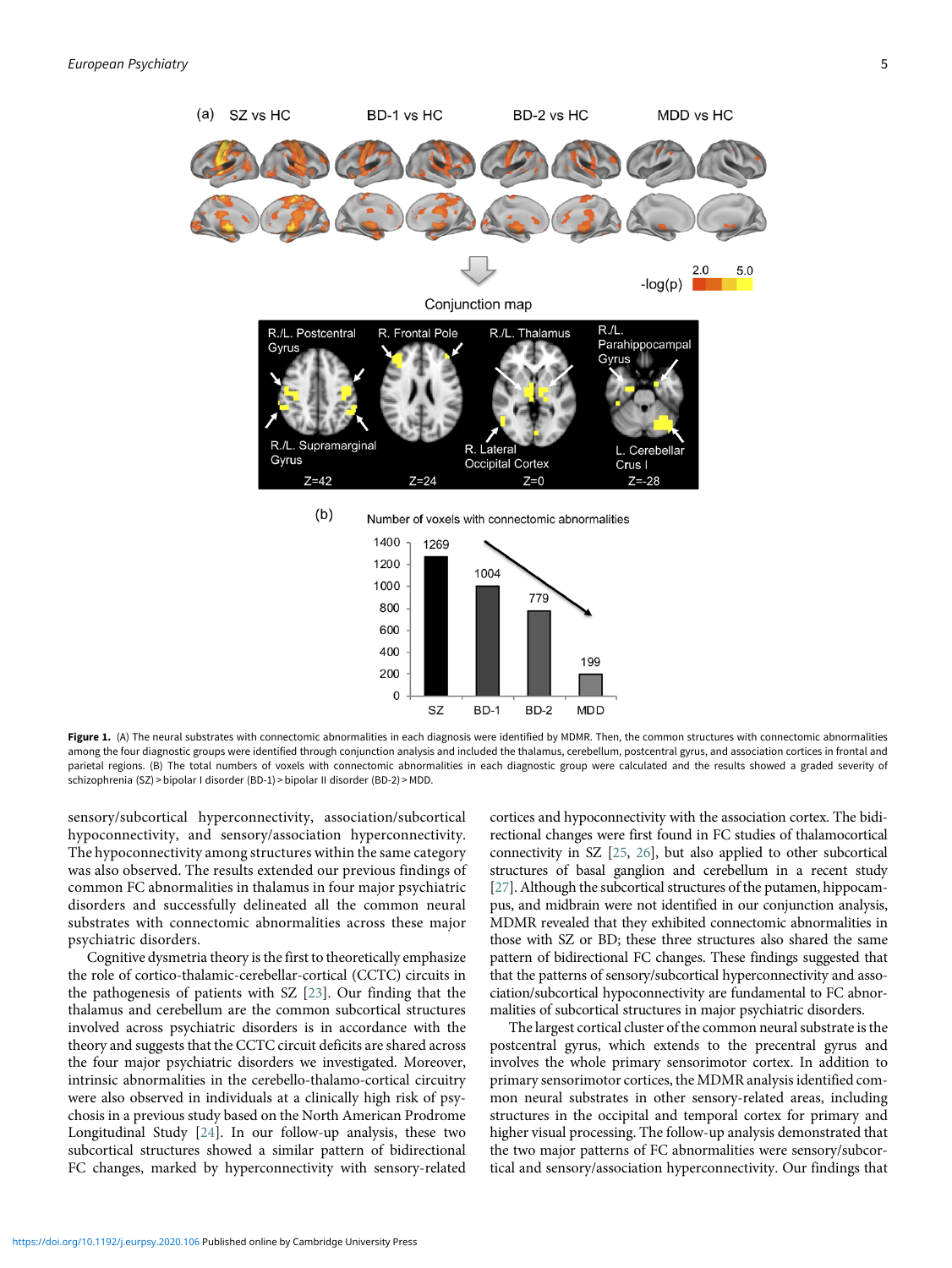<span id="page-4-0"></span>

Figure 1. (A) The neural substrates with connectomic abnormalities in each diagnosis were identified by MDMR. Then, the common structures with connectomic abnormalities among the four diagnostic groups were identified through conjunction analysis and included the thalamus, cerebellum, postcentral gyrus, and association cortices in frontal and parietal regions. (B) The total numbers of voxels with connectomic abnormalities in each diagnostic group were calculated and the results showed a graded severity of schizophrenia (SZ) > bipolar I disorder (BD-1) > bipolar II disorder (BD-2) > MDD.

sensory/subcortical hyperconnectivity, association/subcortical hypoconnectivity, and sensory/association hyperconnectivity. The hypoconnectivity among structures within the same category was also observed. The results extended our previous findings of common FC abnormalities in thalamus in four major psychiatric disorders and successfully delineated all the common neural substrates with connectomic abnormalities across these major psychiatric disorders.

Cognitive dysmetria theory is the first to theoretically emphasize the role of cortico-thalamic-cerebellar-cortical (CCTC) circuits in the pathogenesis of patients with SZ [[23\]](#page-7-22). Our finding that the thalamus and cerebellum are the common subcortical structures involved across psychiatric disorders is in accordance with the theory and suggests that the CCTC circuit deficits are shared across the four major psychiatric disorders we investigated. Moreover, intrinsic abnormalities in the cerebello-thalamo-cortical circuitry were also observed in individuals at a clinically high risk of psychosis in a previous study based on the North American Prodrome Longitudinal Study [\[24\]](#page-7-23). In our follow-up analysis, these two subcortical structures showed a similar pattern of bidirectional FC changes, marked by hyperconnectivity with sensory-related

cortices and hypoconnectivity with the association cortex. The bidirectional changes were first found in FC studies of thalamocortical connectivity in SZ [\[25](#page-7-24), [26\]](#page-7-25), but also applied to other subcortical structures of basal ganglion and cerebellum in a recent study [[27\]](#page-7-26). Although the subcortical structures of the putamen, hippocampus, and midbrain were not identified in our conjunction analysis, MDMR revealed that they exhibited connectomic abnormalities in those with SZ or BD; these three structures also shared the same pattern of bidirectional FC changes. These findings suggested that that the patterns of sensory/subcortical hyperconnectivity and association/subcortical hypoconnectivity are fundamental to FC abnormalities of subcortical structures in major psychiatric disorders.

The largest cortical cluster of the common neural substrate is the postcentral gyrus, which extends to the precentral gyrus and involves the whole primary sensorimotor cortex. In addition to primary sensorimotor cortices, the MDMR analysis identified common neural substrates in other sensory-related areas, including structures in the occipital and temporal cortex for primary and higher visual processing. The follow-up analysis demonstrated that the two major patterns of FC abnormalities were sensory/subcortical and sensory/association hyperconnectivity. Our findings that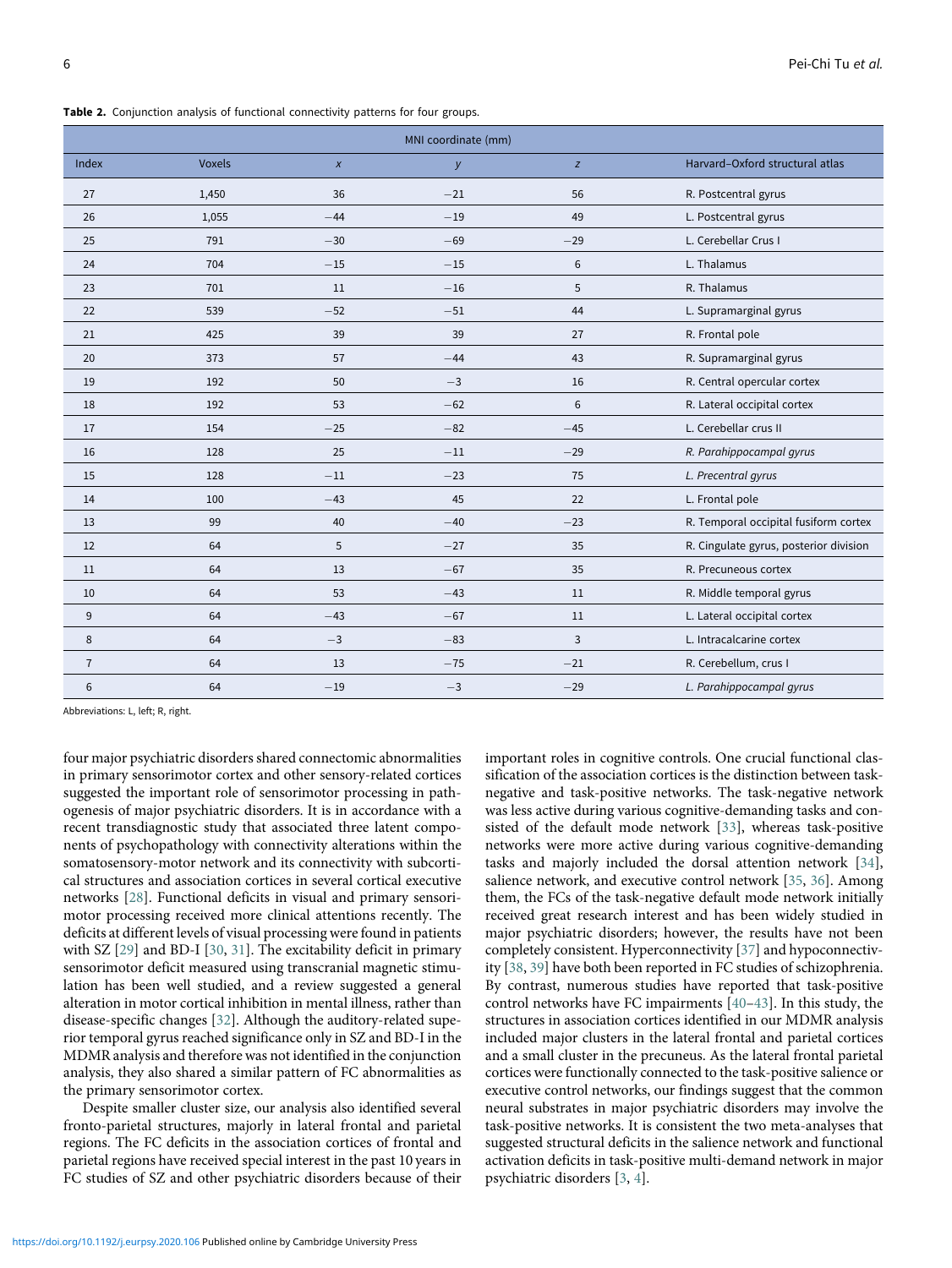Table 2. Conjunction analysis of functional connectivity patterns for four groups.

| MNI coordinate (mm) |               |              |       |       |                                        |  |  |  |  |
|---------------------|---------------|--------------|-------|-------|----------------------------------------|--|--|--|--|
| Index               | <b>Voxels</b> | $\pmb{\chi}$ | y     | z     | Harvard-Oxford structural atlas        |  |  |  |  |
| 27                  | 1,450         | 36           | $-21$ | 56    | R. Postcentral gyrus                   |  |  |  |  |
| 26                  | 1,055         | $-44$        | $-19$ | 49    | L. Postcentral gyrus                   |  |  |  |  |
| 25                  | 791           | $-30$        | $-69$ | $-29$ | L. Cerebellar Crus I                   |  |  |  |  |
| 24                  | 704           | $-15$        | $-15$ | 6     | L. Thalamus                            |  |  |  |  |
| 23                  | 701           | 11           | $-16$ | 5     | R. Thalamus                            |  |  |  |  |
| 22                  | 539           | $-52$        | $-51$ | 44    | L. Supramarginal gyrus                 |  |  |  |  |
| 21                  | 425           | 39           | 39    | 27    | R. Frontal pole                        |  |  |  |  |
| 20                  | 373           | 57           | $-44$ | 43    | R. Supramarginal gyrus                 |  |  |  |  |
| 19                  | 192           | 50           | $-3$  | 16    | R. Central opercular cortex            |  |  |  |  |
| 18                  | 192           | 53           | $-62$ | 6     | R. Lateral occipital cortex            |  |  |  |  |
| 17                  | 154           | $-25$        | $-82$ | $-45$ | L. Cerebellar crus II                  |  |  |  |  |
| 16                  | 128           | 25           | $-11$ | $-29$ | R. Parahippocampal gyrus               |  |  |  |  |
| 15                  | 128           | $-11$        | $-23$ | 75    | L. Precentral gyrus                    |  |  |  |  |
| 14                  | 100           | $-43$        | 45    | 22    | L. Frontal pole                        |  |  |  |  |
| 13                  | 99            | 40           | $-40$ | $-23$ | R. Temporal occipital fusiform cortex  |  |  |  |  |
| 12                  | 64            | 5            | $-27$ | 35    | R. Cingulate gyrus, posterior division |  |  |  |  |
| 11                  | 64            | 13           | $-67$ | 35    | R. Precuneous cortex                   |  |  |  |  |
| 10                  | 64            | 53           | $-43$ | 11    | R. Middle temporal gyrus               |  |  |  |  |
| 9                   | 64            | $-43$        | $-67$ | 11    | L. Lateral occipital cortex            |  |  |  |  |
| 8                   | 64            | $-3$         | $-83$ | 3     | L. Intracalcarine cortex               |  |  |  |  |
| $\overline{7}$      | 64            | 13           | $-75$ | $-21$ | R. Cerebellum, crus I                  |  |  |  |  |
| 6                   | 64            | $-19$        | $-3$  | $-29$ | L. Parahippocampal gyrus               |  |  |  |  |

<span id="page-5-0"></span>Abbreviations: L, left; R, right.

four major psychiatric disorders shared connectomic abnormalities in primary sensorimotor cortex and other sensory-related cortices suggested the important role of sensorimotor processing in pathogenesis of major psychiatric disorders. It is in accordance with a recent transdiagnostic study that associated three latent components of psychopathology with connectivity alterations within the somatosensory-motor network and its connectivity with subcortical structures and association cortices in several cortical executive networks [[28\]](#page-7-27). Functional deficits in visual and primary sensorimotor processing received more clinical attentions recently. The deficits at different levels of visual processing were found in patients with SZ [[29\]](#page-7-28) and BD-I [[30](#page-7-29), [31\]](#page-7-30). The excitability deficit in primary sensorimotor deficit measured using transcranial magnetic stimulation has been well studied, and a review suggested a general alteration in motor cortical inhibition in mental illness, rather than disease-specific changes [\[32\]](#page-7-31). Although the auditory-related superior temporal gyrus reached significance only in SZ and BD-I in the MDMR analysis and therefore was not identified in the conjunction analysis, they also shared a similar pattern of FC abnormalities as the primary sensorimotor cortex.

Despite smaller cluster size, our analysis also identified several fronto-parietal structures, majorly in lateral frontal and parietal regions. The FC deficits in the association cortices of frontal and parietal regions have received special interest in the past 10 years in FC studies of SZ and other psychiatric disorders because of their

important roles in cognitive controls. One crucial functional classification of the association cortices is the distinction between tasknegative and task-positive networks. The task-negative network was less active during various cognitive-demanding tasks and consisted of the default mode network [[33\]](#page-8-0), whereas task-positive networks were more active during various cognitive-demanding tasks and majorly included the dorsal attention network [\[34](#page-8-1)], salience network, and executive control network [\[35](#page-8-2), [36](#page-8-3)]. Among them, the FCs of the task-negative default mode network initially received great research interest and has been widely studied in major psychiatric disorders; however, the results have not been completely consistent. Hyperconnectivity [[37\]](#page-8-4) and hypoconnectivity [[38,](#page-8-5) [39\]](#page-8-6) have both been reported in FC studies of schizophrenia. By contrast, numerous studies have reported that task-positive control networks have FC impairments [[40](#page-8-7)–[43\]](#page-8-1). In this study, the structures in association cortices identified in our MDMR analysis included major clusters in the lateral frontal and parietal cortices and a small cluster in the precuneus. As the lateral frontal parietal cortices were functionally connected to the task-positive salience or executive control networks, our findings suggest that the common neural substrates in major psychiatric disorders may involve the task-positive networks. It is consistent the two meta-analyses that suggested structural deficits in the salience network and functional activation deficits in task-positive multi-demand network in major psychiatric disorders [[3](#page-7-2), [4](#page-7-3)].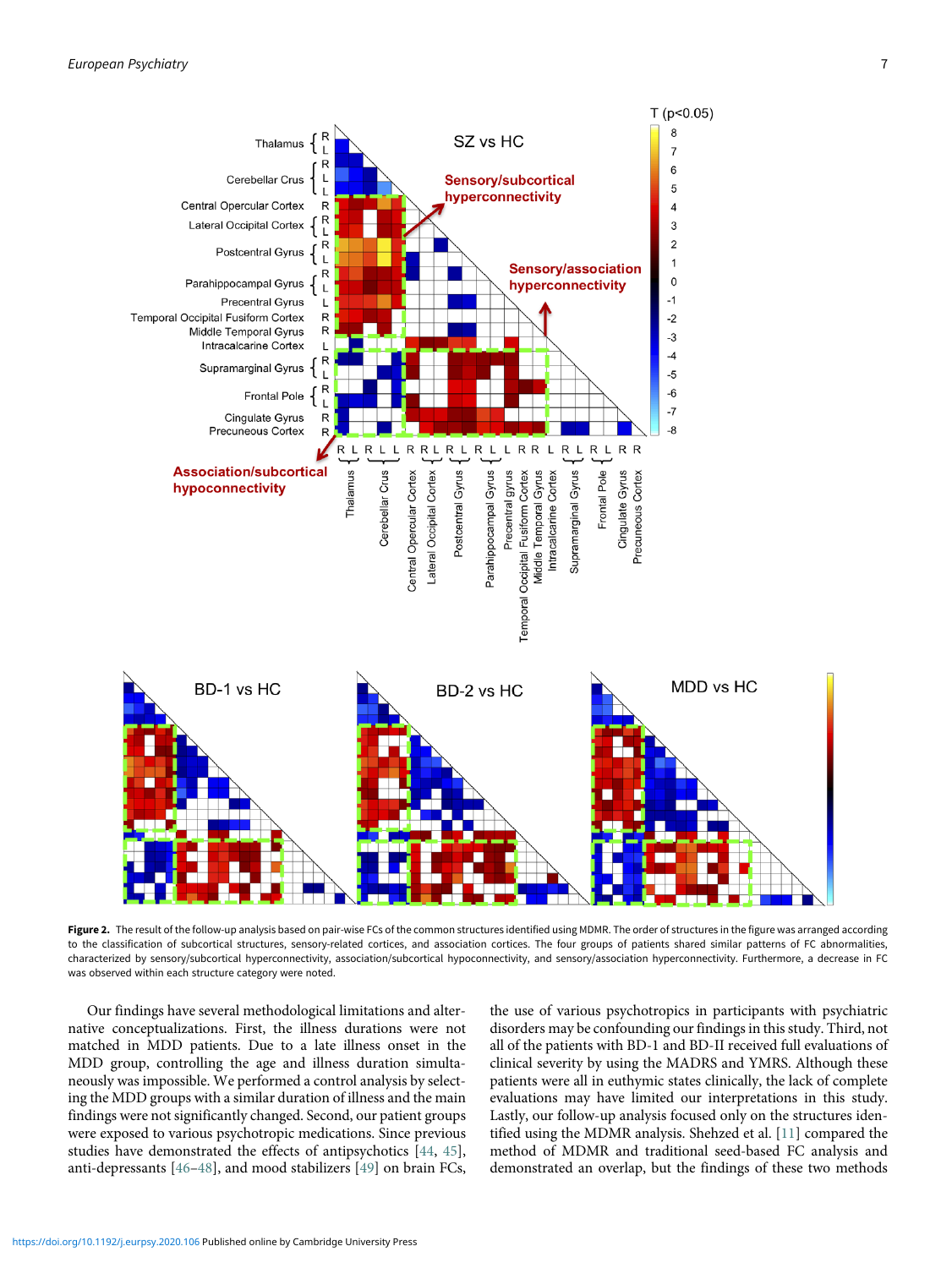<span id="page-6-0"></span>

Figure 2. The result of the follow-up analysis based on pair-wise FCs of the common structures identified using MDMR. The order of structures in the figure was arranged according to the classification of subcortical structures, sensory-related cortices, and association cortices. The four groups of patients shared similar patterns of FC abnormalities, characterized by sensory/subcortical hyperconnectivity, association/subcortical hypoconnectivity, and sensory/association hyperconnectivity. Furthermore, a decrease in FC was observed within each structure category were noted.

Our findings have several methodological limitations and alternative conceptualizations. First, the illness durations were not matched in MDD patients. Due to a late illness onset in the MDD group, controlling the age and illness duration simultaneously was impossible. We performed a control analysis by selecting the MDD groups with a similar duration of illness and the main findings were not significantly changed. Second, our patient groups were exposed to various psychotropic medications. Since previous studies have demonstrated the effects of antipsychotics [[44,](#page-8-8) [45](#page-8-9)], anti-depressants [[46](#page-8-10)–[48\]](#page-8-11), and mood stabilizers [\[49](#page-8-12)] on brain FCs,

the use of various psychotropics in participants with psychiatric disorders may be confounding our findings in this study. Third, not all of the patients with BD-1 and BD-II received full evaluations of clinical severity by using the MADRS and YMRS. Although these patients were all in euthymic states clinically, the lack of complete evaluations may have limited our interpretations in this study. Lastly, our follow-up analysis focused only on the structures identified using the MDMR analysis. Shehzed et al. [[11\]](#page-7-10) compared the method of MDMR and traditional seed-based FC analysis and demonstrated an overlap, but the findings of these two methods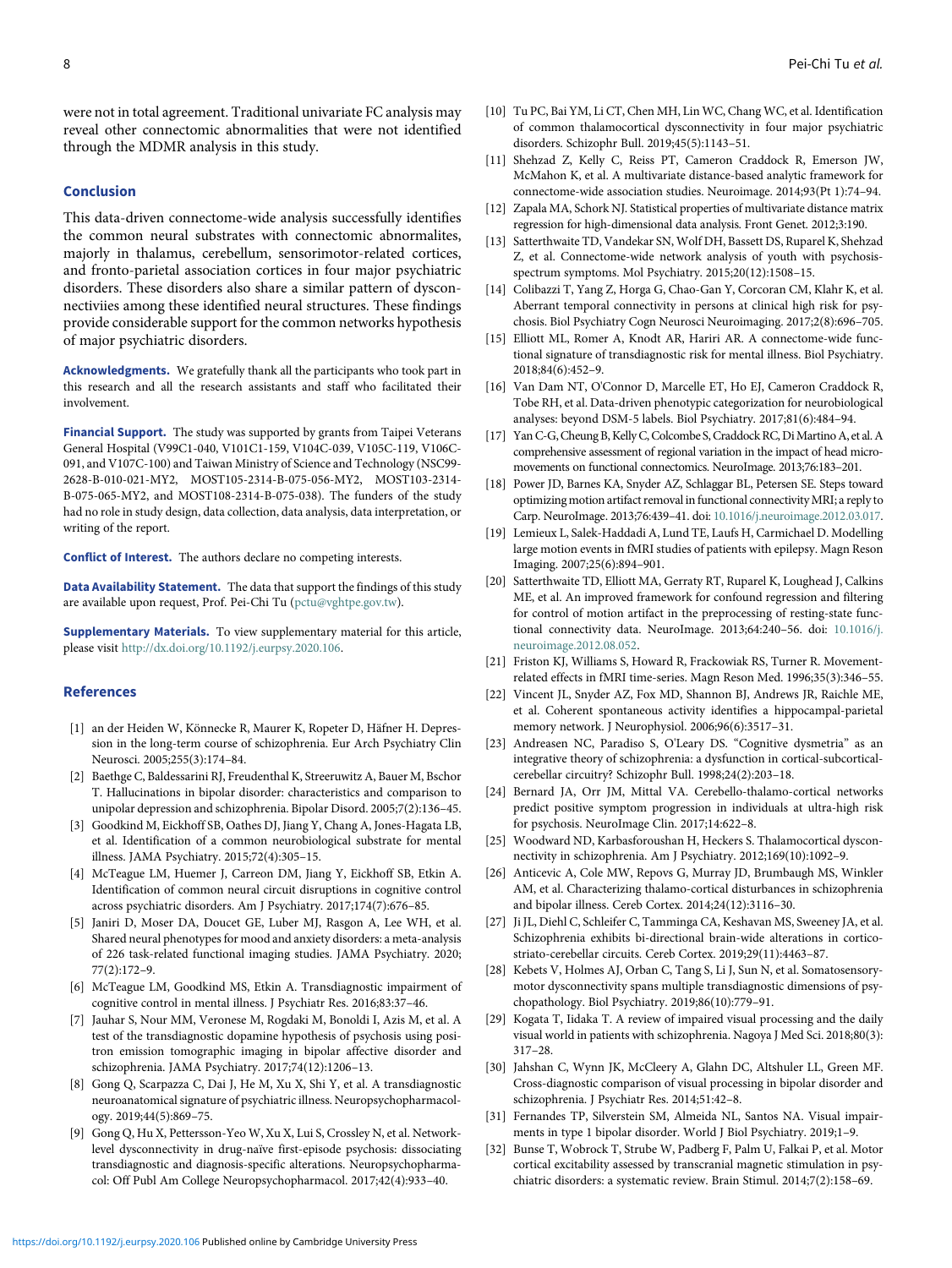<span id="page-7-9"></span>were not in total agreement. Traditional univariate FC analysis may reveal other connectomic abnormalities that were not identified through the MDMR analysis in this study.

# <span id="page-7-11"></span><span id="page-7-10"></span>Conclusion

<span id="page-7-13"></span><span id="page-7-12"></span>This data-driven connectome-wide analysis successfully identifies the common neural substrates with connectomic abnormalites, majorly in thalamus, cerebellum, sensorimotor-related cortices, and fronto-parietal association cortices in four major psychiatric disorders. These disorders also share a similar pattern of dysconnectiviies among these identified neural structures. These findings provide considerable support for the common networks hypothesis of major psychiatric disorders.

<span id="page-7-15"></span><span id="page-7-14"></span>Acknowledgments. We gratefully thank all the participants who took part in this research and all the research assistants and staff who facilitated their involvement.

<span id="page-7-17"></span><span id="page-7-16"></span>Financial Support. The study was supported by grants from Taipei Veterans General Hospital (V99C1-040, V101C1-159, V104C-039, V105C-119, V106C-091, and V107C-100) and Taiwan Ministry of Science and Technology (NSC99- 2628-B-010-021-MY2, MOST105-2314-B-075-056-MY2, MOST103-2314- B-075-065-MY2, and MOST108-2314-B-075-038). The funders of the study had no role in study design, data collection, data analysis, data interpretation, or writing of the report.

<span id="page-7-19"></span><span id="page-7-18"></span>Conflict of Interest. The authors declare no competing interests.

Data Availability Statement. The data that support the findings of this study are available upon request, Prof. Pei-Chi Tu [\(pctu@vghtpe.gov.tw](mailto:pctu@vghtpe.gov.tw)).

<span id="page-7-20"></span>Supplementary Materials. To view supplementary material for this article, please visit <http://dx.doi.org/10.1192/j.eurpsy.2020.106>.

#### <span id="page-7-21"></span><span id="page-7-0"></span>References

- <span id="page-7-22"></span>[1] an der Heiden W, Könnecke R, Maurer K, Ropeter D, Häfner H. Depression in the long-term course of schizophrenia. Eur Arch Psychiatry Clin Neurosci. 2005;255(3):174–84.
- <span id="page-7-23"></span><span id="page-7-1"></span>[2] Baethge C, Baldessarini RJ, Freudenthal K, Streeruwitz A, Bauer M, Bschor T. Hallucinations in bipolar disorder: characteristics and comparison to unipolar depression and schizophrenia. Bipolar Disord. 2005;7(2):136–45.
- <span id="page-7-24"></span><span id="page-7-2"></span>[3] Goodkind M, Eickhoff SB, Oathes DJ, Jiang Y, Chang A, Jones-Hagata LB, et al. Identification of a common neurobiological substrate for mental illness. JAMA Psychiatry. 2015;72(4):305–15.
- <span id="page-7-25"></span><span id="page-7-3"></span>[4] McTeague LM, Huemer J, Carreon DM, Jiang Y, Eickhoff SB, Etkin A. Identification of common neural circuit disruptions in cognitive control across psychiatric disorders. Am J Psychiatry. 2017;174(7):676–85.
- <span id="page-7-27"></span><span id="page-7-26"></span><span id="page-7-4"></span>[5] Janiri D, Moser DA, Doucet GE, Luber MJ, Rasgon A, Lee WH, et al. Shared neural phenotypes for mood and anxiety disorders: a meta-analysis of 226 task-related functional imaging studies. JAMA Psychiatry. 2020; 77(2):172–9.
- <span id="page-7-28"></span><span id="page-7-6"></span><span id="page-7-5"></span>[6] McTeague LM, Goodkind MS, Etkin A. Transdiagnostic impairment of cognitive control in mental illness. J Psychiatr Res. 2016;83:37–46.
- <span id="page-7-29"></span>[7] Jauhar S, Nour MM, Veronese M, Rogdaki M, Bonoldi I, Azis M, et al. A test of the transdiagnostic dopamine hypothesis of psychosis using positron emission tomographic imaging in bipolar affective disorder and schizophrenia. JAMA Psychiatry. 2017;74(12):1206–13.
- <span id="page-7-30"></span><span id="page-7-7"></span>[8] Gong Q, Scarpazza C, Dai J, He M, Xu X, Shi Y, et al. A transdiagnostic neuroanatomical signature of psychiatric illness. Neuropsychopharmacology. 2019;44(5):869–75.
- <span id="page-7-31"></span><span id="page-7-8"></span>[9] Gong Q, Hu X, Pettersson-Yeo W, Xu X, Lui S, Crossley N, et al. Networklevel dysconnectivity in drug-naïve first-episode psychosis: dissociating transdiagnostic and diagnosis-specific alterations. Neuropsychopharmacol: Off Publ Am College Neuropsychopharmacol. 2017;42(4):933–40.
- [10] Tu PC, Bai YM, Li CT, Chen MH, Lin WC, Chang WC, et al. Identification of common thalamocortical dysconnectivity in four major psychiatric disorders. Schizophr Bull. 2019;45(5):1143–51.
- [11] Shehzad Z, Kelly C, Reiss PT, Cameron Craddock R, Emerson JW, McMahon K, et al. A multivariate distance-based analytic framework for connectome-wide association studies. Neuroimage. 2014;93(Pt 1):74–94.
- [12] Zapala MA, Schork NJ. Statistical properties of multivariate distance matrix regression for high-dimensional data analysis. Front Genet. 2012;3:190.
- [13] Satterthwaite TD, Vandekar SN, Wolf DH, Bassett DS, Ruparel K, Shehzad Z, et al. Connectome-wide network analysis of youth with psychosisspectrum symptoms. Mol Psychiatry. 2015;20(12):1508–15.
- [14] Colibazzi T, Yang Z, Horga G, Chao-Gan Y, Corcoran CM, Klahr K, et al. Aberrant temporal connectivity in persons at clinical high risk for psychosis. Biol Psychiatry Cogn Neurosci Neuroimaging. 2017;2(8):696–705.
- [15] Elliott ML, Romer A, Knodt AR, Hariri AR. A connectome-wide functional signature of transdiagnostic risk for mental illness. Biol Psychiatry. 2018;84(6):452–9.
- [16] Van Dam NT, O'Connor D, Marcelle ET, Ho EJ, Cameron Craddock R, Tobe RH, et al. Data-driven phenotypic categorization for neurobiological analyses: beyond DSM-5 labels. Biol Psychiatry. 2017;81(6):484–94.
- [17] Yan C-G, Cheung B, Kelly C, Colcombe S, Craddock RC, Di Martino A, et al. A comprehensive assessment of regional variation in the impact of head micromovements on functional connectomics. NeuroImage. 2013;76:183–201.
- [18] Power JD, Barnes KA, Snyder AZ, Schlaggar BL, Petersen SE. Steps toward optimizing motion artifact removal in functional connectivityMRI; a reply to Carp. NeuroImage. 2013;76:439–41. doi: [10.1016/j.neuroimage.2012.03.017.](https://doi.org/10.1016/j.neuroimage.2012.03.017)
- [19] Lemieux L, Salek-Haddadi A, Lund TE, Laufs H, Carmichael D. Modelling large motion events in fMRI studies of patients with epilepsy. Magn Reson Imaging. 2007;25(6):894–901.
- [20] Satterthwaite TD, Elliott MA, Gerraty RT, Ruparel K, Loughead J, Calkins ME, et al. An improved framework for confound regression and filtering for control of motion artifact in the preprocessing of resting-state functional connectivity data. NeuroImage. 2013;64:240–56. doi: [10.1016/j.](https://doi.org/10.1016/j.neuroimage.2012.08.052) [neuroimage.2012.08.052.](https://doi.org/10.1016/j.neuroimage.2012.08.052)
- [21] Friston KJ, Williams S, Howard R, Frackowiak RS, Turner R. Movementrelated effects in fMRI time-series. Magn Reson Med. 1996;35(3):346–55.
- [22] Vincent JL, Snyder AZ, Fox MD, Shannon BJ, Andrews JR, Raichle ME, et al. Coherent spontaneous activity identifies a hippocampal-parietal memory network. J Neurophysiol. 2006;96(6):3517–31.
- [23] Andreasen NC, Paradiso S, O'Leary DS. "Cognitive dysmetria" as an integrative theory of schizophrenia: a dysfunction in cortical-subcorticalcerebellar circuitry? Schizophr Bull. 1998;24(2):203–18.
- [24] Bernard JA, Orr JM, Mittal VA. Cerebello-thalamo-cortical networks predict positive symptom progression in individuals at ultra-high risk for psychosis. NeuroImage Clin. 2017;14:622–8.
- [25] Woodward ND, Karbasforoushan H, Heckers S. Thalamocortical dysconnectivity in schizophrenia. Am J Psychiatry. 2012;169(10):1092–9.
- [26] Anticevic A, Cole MW, Repovs G, Murray JD, Brumbaugh MS, Winkler AM, et al. Characterizing thalamo-cortical disturbances in schizophrenia and bipolar illness. Cereb Cortex. 2014;24(12):3116–30.
- [27] Ji JL, Diehl C, Schleifer C, Tamminga CA, Keshavan MS, Sweeney JA, et al. Schizophrenia exhibits bi-directional brain-wide alterations in corticostriato-cerebellar circuits. Cereb Cortex. 2019;29(11):4463–87.
- [28] Kebets V, Holmes AJ, Orban C, Tang S, Li J, Sun N, et al. Somatosensorymotor dysconnectivity spans multiple transdiagnostic dimensions of psychopathology. Biol Psychiatry. 2019;86(10):779–91.
- [29] Kogata T, Iidaka T. A review of impaired visual processing and the daily visual world in patients with schizophrenia. Nagoya J Med Sci. 2018;80(3): 317–28.
- [30] Jahshan C, Wynn JK, McCleery A, Glahn DC, Altshuler LL, Green MF. Cross-diagnostic comparison of visual processing in bipolar disorder and schizophrenia. J Psychiatr Res. 2014;51:42–8.
- [31] Fernandes TP, Silverstein SM, Almeida NL, Santos NA. Visual impairments in type 1 bipolar disorder. World J Biol Psychiatry. 2019;1–9.
- [32] Bunse T, Wobrock T, Strube W, Padberg F, Palm U, Falkai P, et al. Motor cortical excitability assessed by transcranial magnetic stimulation in psychiatric disorders: a systematic review. Brain Stimul. 2014;7(2):158–69.